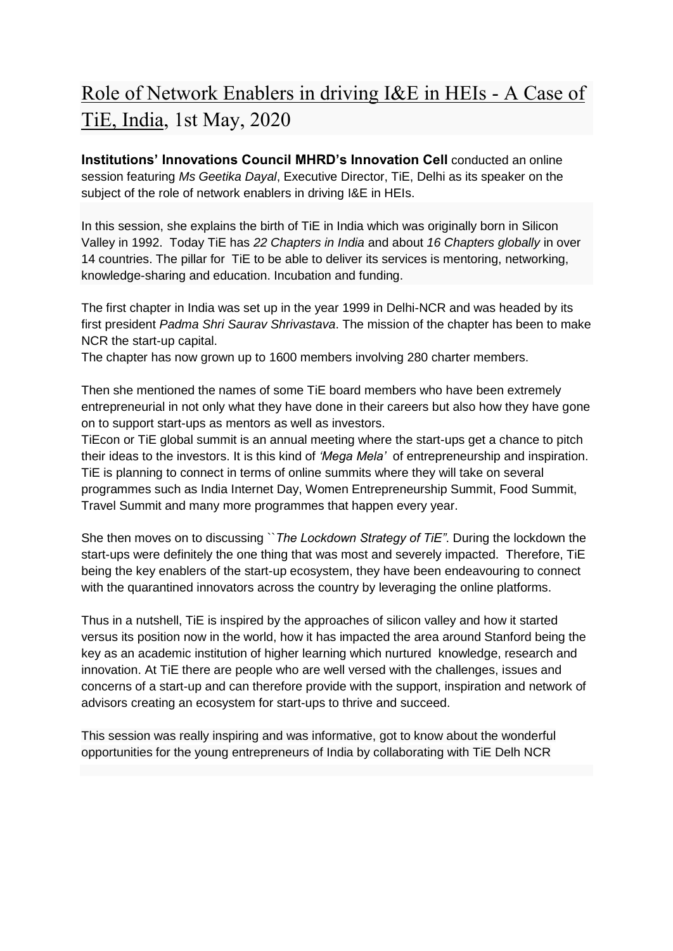## Role of Network Enablers in driving I&E in HEIs - A Case of TiE, India, 1st May, 2020

**Institutions' Innovations Council MHRD's Innovation Cell** conducted an online session featuring *Ms Geetika Dayal*, Executive Director, TiE, Delhi as its speaker on the subject of the role of network enablers in driving I&E in HEIs.

In this session, she explains the birth of TiE in India which was originally born in Silicon Valley in 1992. Today TiE has *22 Chapters in India* and about *16 Chapters globally* in over 14 countries. The pillar for TiE to be able to deliver its services is mentoring, networking, knowledge-sharing and education. Incubation and funding.

The first chapter in India was set up in the year 1999 in Delhi-NCR and was headed by its first president *Padma Shri Saurav Shrivastava*. The mission of the chapter has been to make NCR the start-up capital.

The chapter has now grown up to 1600 members involving 280 charter members.

Then she mentioned the names of some TiE board members who have been extremely entrepreneurial in not only what they have done in their careers but also how they have gone on to support start-ups as mentors as well as investors.

TiEcon or TiE global summit is an annual meeting where the start-ups get a chance to pitch their ideas to the investors. It is this kind of *'Mega Mela'* of entrepreneurship and inspiration. TiE is planning to connect in terms of online summits where they will take on several programmes such as India Internet Day, Women Entrepreneurship Summit, Food Summit, Travel Summit and many more programmes that happen every year.

She then moves on to discussing ``*The Lockdown Strategy of TiE"*. During the lockdown the start-ups were definitely the one thing that was most and severely impacted. Therefore, TiE being the key enablers of the start-up ecosystem, they have been endeavouring to connect with the quarantined innovators across the country by leveraging the online platforms.

Thus in a nutshell, TiE is inspired by the approaches of silicon valley and how it started versus its position now in the world, how it has impacted the area around Stanford being the key as an academic institution of higher learning which nurtured knowledge, research and innovation. At TiE there are people who are well versed with the challenges, issues and concerns of a start-up and can therefore provide with the support, inspiration and network of advisors creating an ecosystem for start-ups to thrive and succeed.

This session was really inspiring and was informative, got to know about the wonderful opportunities for the young entrepreneurs of India by collaborating with TiE Delh NCR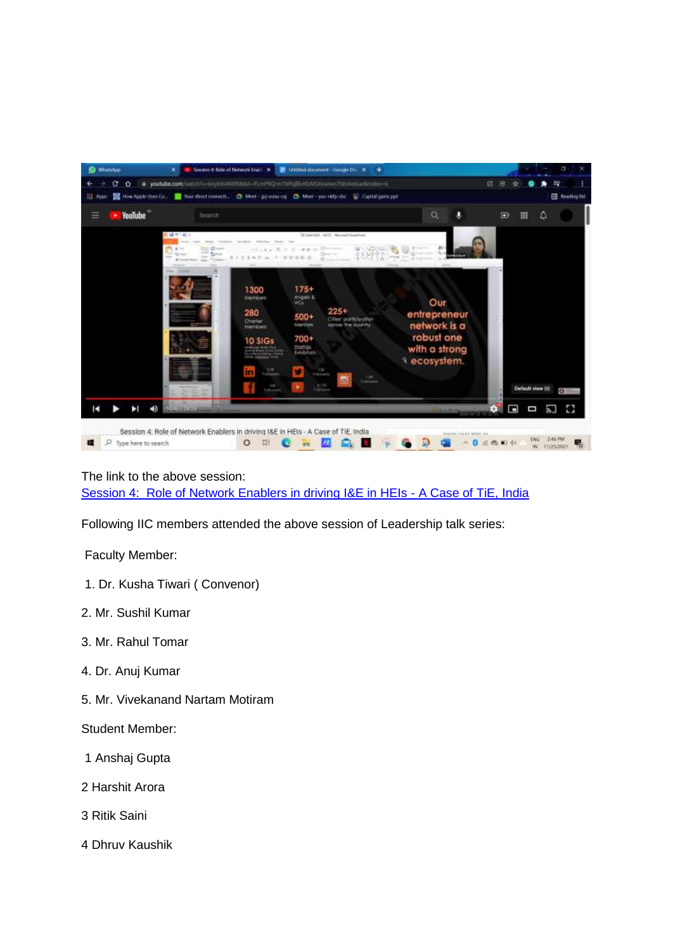

The link to the above session: [Session 4: Role of Network Enablers in driving I&E in HEIs - A Case of TiE, India](https://youtu.be/6nyk9xWlXfI) 

Following IIC members attended the above session of Leadership talk series:

Faculty Member:

- 1. Dr. Kusha Tiwari ( Convenor)
- 2. Mr. Sushil Kumar
- 3. Mr. Rahul Tomar
- 4. Dr. Anuj Kumar
- 5. Mr. Vivekanand Nartam Motiram
- Student Member:
- 1 Anshaj Gupta
- 2 Harshit Arora
- 3 Ritik Saini
- 4 Dhruv Kaushik